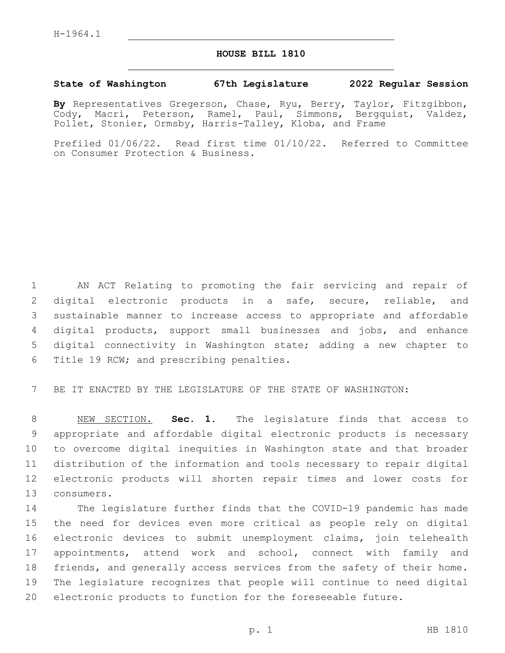## **HOUSE BILL 1810**

## **State of Washington 67th Legislature 2022 Regular Session**

**By** Representatives Gregerson, Chase, Ryu, Berry, Taylor, Fitzgibbon, Cody, Macri, Peterson, Ramel, Paul, Simmons, Bergquist, Valdez, Pollet, Stonier, Ormsby, Harris-Talley, Kloba, and Frame

Prefiled 01/06/22. Read first time 01/10/22. Referred to Committee on Consumer Protection & Business.

 AN ACT Relating to promoting the fair servicing and repair of digital electronic products in a safe, secure, reliable, and sustainable manner to increase access to appropriate and affordable digital products, support small businesses and jobs, and enhance digital connectivity in Washington state; adding a new chapter to 6 Title 19 RCW; and prescribing penalties.

BE IT ENACTED BY THE LEGISLATURE OF THE STATE OF WASHINGTON:

 NEW SECTION. **Sec. 1.** The legislature finds that access to appropriate and affordable digital electronic products is necessary to overcome digital inequities in Washington state and that broader distribution of the information and tools necessary to repair digital electronic products will shorten repair times and lower costs for consumers.

 The legislature further finds that the COVID-19 pandemic has made the need for devices even more critical as people rely on digital electronic devices to submit unemployment claims, join telehealth appointments, attend work and school, connect with family and friends, and generally access services from the safety of their home. The legislature recognizes that people will continue to need digital electronic products to function for the foreseeable future.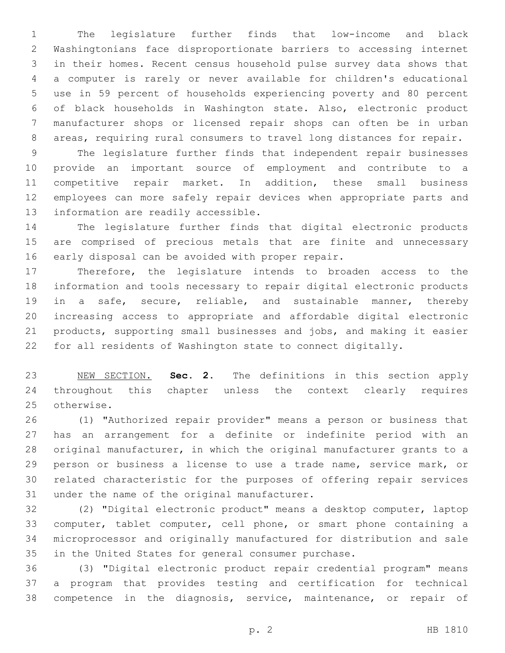The legislature further finds that low-income and black Washingtonians face disproportionate barriers to accessing internet in their homes. Recent census household pulse survey data shows that a computer is rarely or never available for children's educational use in 59 percent of households experiencing poverty and 80 percent of black households in Washington state. Also, electronic product manufacturer shops or licensed repair shops can often be in urban areas, requiring rural consumers to travel long distances for repair.

 The legislature further finds that independent repair businesses provide an important source of employment and contribute to a competitive repair market. In addition, these small business employees can more safely repair devices when appropriate parts and 13 information are readily accessible.

 The legislature further finds that digital electronic products are comprised of precious metals that are finite and unnecessary 16 early disposal can be avoided with proper repair.

 Therefore, the legislature intends to broaden access to the information and tools necessary to repair digital electronic products in a safe, secure, reliable, and sustainable manner, thereby increasing access to appropriate and affordable digital electronic products, supporting small businesses and jobs, and making it easier for all residents of Washington state to connect digitally.

 NEW SECTION. **Sec. 2.** The definitions in this section apply throughout this chapter unless the context clearly requires otherwise.

 (1) "Authorized repair provider" means a person or business that has an arrangement for a definite or indefinite period with an original manufacturer, in which the original manufacturer grants to a person or business a license to use a trade name, service mark, or related characteristic for the purposes of offering repair services 31 under the name of the original manufacturer.

 (2) "Digital electronic product" means a desktop computer, laptop computer, tablet computer, cell phone, or smart phone containing a microprocessor and originally manufactured for distribution and sale in the United States for general consumer purchase.

 (3) "Digital electronic product repair credential program" means a program that provides testing and certification for technical competence in the diagnosis, service, maintenance, or repair of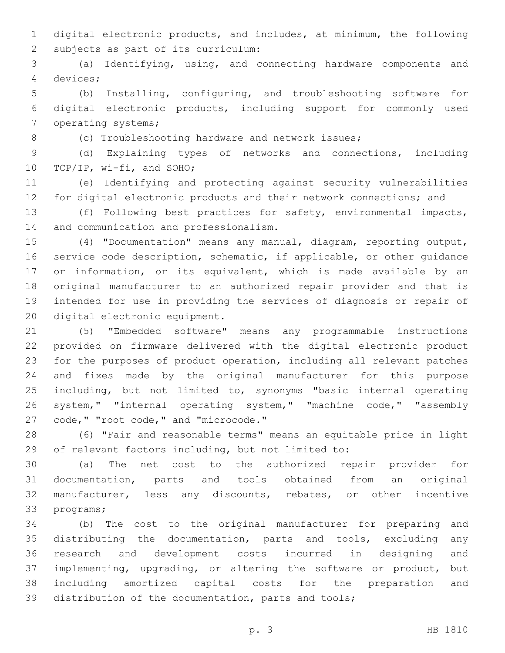digital electronic products, and includes, at minimum, the following 2 subjects as part of its curriculum:

 (a) Identifying, using, and connecting hardware components and devices;4

 (b) Installing, configuring, and troubleshooting software for digital electronic products, including support for commonly used 7 operating systems;

(c) Troubleshooting hardware and network issues;

 (d) Explaining types of networks and connections, including 10 TCP/IP, wi-fi, and SOHO;

 (e) Identifying and protecting against security vulnerabilities for digital electronic products and their network connections; and

 (f) Following best practices for safety, environmental impacts, 14 and communication and professionalism.

 (4) "Documentation" means any manual, diagram, reporting output, service code description, schematic, if applicable, or other guidance or information, or its equivalent, which is made available by an original manufacturer to an authorized repair provider and that is intended for use in providing the services of diagnosis or repair of 20 digital electronic equipment.

 (5) "Embedded software" means any programmable instructions provided on firmware delivered with the digital electronic product for the purposes of product operation, including all relevant patches and fixes made by the original manufacturer for this purpose 25 including, but not limited to, synonyms "basic internal operating system," "internal operating system," "machine code," "assembly 27 code, " "root code, " and "microcode."

 (6) "Fair and reasonable terms" means an equitable price in light of relevant factors including, but not limited to:

 (a) The net cost to the authorized repair provider for documentation, parts and tools obtained from an original manufacturer, less any discounts, rebates, or other incentive 33 programs;

 (b) The cost to the original manufacturer for preparing and distributing the documentation, parts and tools, excluding any research and development costs incurred in designing and implementing, upgrading, or altering the software or product, but including amortized capital costs for the preparation and distribution of the documentation, parts and tools;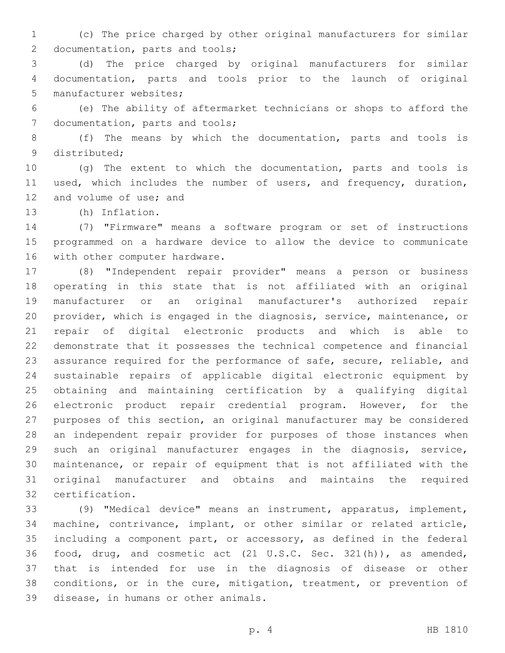(c) The price charged by other original manufacturers for similar 2 documentation, parts and tools;

 (d) The price charged by original manufacturers for similar documentation, parts and tools prior to the launch of original 5 manufacturer websites;

 (e) The ability of aftermarket technicians or shops to afford the 7 documentation, parts and tools;

 (f) The means by which the documentation, parts and tools is 9 distributed;

 (g) The extent to which the documentation, parts and tools is used, which includes the number of users, and frequency, duration, 12 and volume of use; and

13 (h) Inflation.

 (7) "Firmware" means a software program or set of instructions programmed on a hardware device to allow the device to communicate 16 with other computer hardware.

 (8) "Independent repair provider" means a person or business operating in this state that is not affiliated with an original manufacturer or an original manufacturer's authorized repair provider, which is engaged in the diagnosis, service, maintenance, or repair of digital electronic products and which is able to demonstrate that it possesses the technical competence and financial assurance required for the performance of safe, secure, reliable, and sustainable repairs of applicable digital electronic equipment by obtaining and maintaining certification by a qualifying digital electronic product repair credential program. However, for the purposes of this section, an original manufacturer may be considered an independent repair provider for purposes of those instances when such an original manufacturer engages in the diagnosis, service, maintenance, or repair of equipment that is not affiliated with the original manufacturer and obtains and maintains the required certification.32

 (9) "Medical device" means an instrument, apparatus, implement, machine, contrivance, implant, or other similar or related article, including a component part, or accessory, as defined in the federal food, drug, and cosmetic act (21 U.S.C. Sec. 321(h)), as amended, that is intended for use in the diagnosis of disease or other conditions, or in the cure, mitigation, treatment, or prevention of 39 disease, in humans or other animals.

p. 4 HB 1810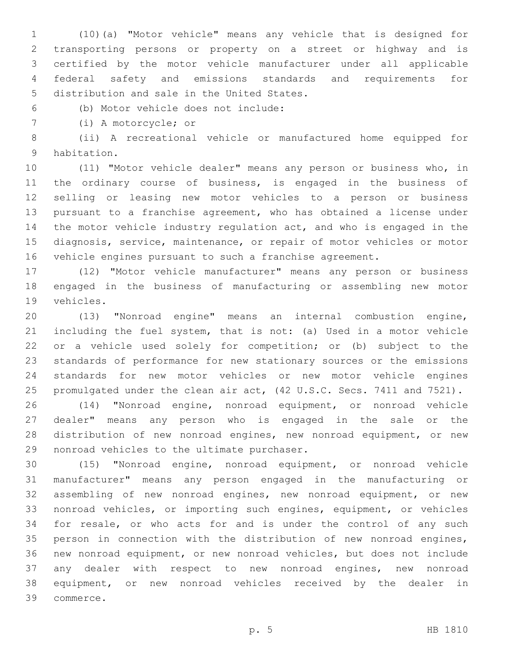(10)(a) "Motor vehicle" means any vehicle that is designed for transporting persons or property on a street or highway and is certified by the motor vehicle manufacturer under all applicable federal safety and emissions standards and requirements for 5 distribution and sale in the United States.

(b) Motor vehicle does not include:6

7 (i) A motorcycle; or

 (ii) A recreational vehicle or manufactured home equipped for 9 habitation.

 (11) "Motor vehicle dealer" means any person or business who, in the ordinary course of business, is engaged in the business of selling or leasing new motor vehicles to a person or business pursuant to a franchise agreement, who has obtained a license under the motor vehicle industry regulation act, and who is engaged in the diagnosis, service, maintenance, or repair of motor vehicles or motor vehicle engines pursuant to such a franchise agreement.

 (12) "Motor vehicle manufacturer" means any person or business engaged in the business of manufacturing or assembling new motor 19 vehicles.

 (13) "Nonroad engine" means an internal combustion engine, including the fuel system, that is not: (a) Used in a motor vehicle or a vehicle used solely for competition; or (b) subject to the standards of performance for new stationary sources or the emissions standards for new motor vehicles or new motor vehicle engines promulgated under the clean air act, (42 U.S.C. Secs. 7411 and 7521).

 (14) "Nonroad engine, nonroad equipment, or nonroad vehicle dealer" means any person who is engaged in the sale or the distribution of new nonroad engines, new nonroad equipment, or new 29 nonroad vehicles to the ultimate purchaser.

 (15) "Nonroad engine, nonroad equipment, or nonroad vehicle manufacturer" means any person engaged in the manufacturing or assembling of new nonroad engines, new nonroad equipment, or new nonroad vehicles, or importing such engines, equipment, or vehicles for resale, or who acts for and is under the control of any such person in connection with the distribution of new nonroad engines, new nonroad equipment, or new nonroad vehicles, but does not include any dealer with respect to new nonroad engines, new nonroad equipment, or new nonroad vehicles received by the dealer in commerce.39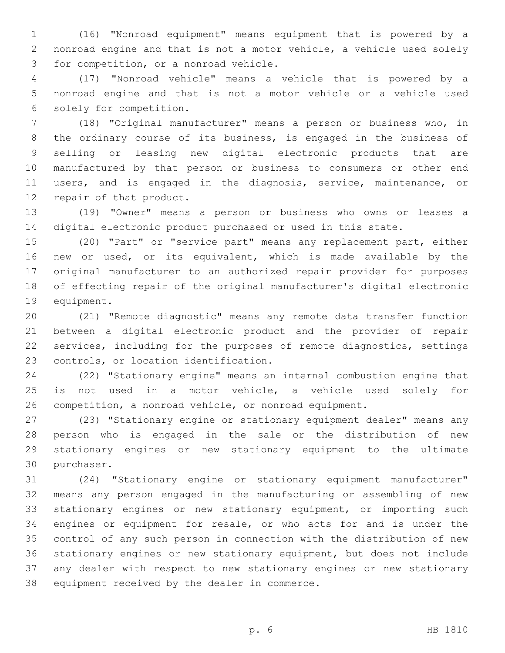(16) "Nonroad equipment" means equipment that is powered by a nonroad engine and that is not a motor vehicle, a vehicle used solely 3 for competition, or a nonroad vehicle.

 (17) "Nonroad vehicle" means a vehicle that is powered by a nonroad engine and that is not a motor vehicle or a vehicle used 6 solely for competition.

 (18) "Original manufacturer" means a person or business who, in the ordinary course of its business, is engaged in the business of selling or leasing new digital electronic products that are manufactured by that person or business to consumers or other end users, and is engaged in the diagnosis, service, maintenance, or 12 repair of that product.

 (19) "Owner" means a person or business who owns or leases a digital electronic product purchased or used in this state.

 (20) "Part" or "service part" means any replacement part, either new or used, or its equivalent, which is made available by the original manufacturer to an authorized repair provider for purposes of effecting repair of the original manufacturer's digital electronic 19 equipment.

 (21) "Remote diagnostic" means any remote data transfer function between a digital electronic product and the provider of repair services, including for the purposes of remote diagnostics, settings 23 controls, or location identification.

 (22) "Stationary engine" means an internal combustion engine that is not used in a motor vehicle, a vehicle used solely for competition, a nonroad vehicle, or nonroad equipment.

 (23) "Stationary engine or stationary equipment dealer" means any person who is engaged in the sale or the distribution of new stationary engines or new stationary equipment to the ultimate 30 purchaser.

 (24) "Stationary engine or stationary equipment manufacturer" means any person engaged in the manufacturing or assembling of new stationary engines or new stationary equipment, or importing such engines or equipment for resale, or who acts for and is under the control of any such person in connection with the distribution of new stationary engines or new stationary equipment, but does not include any dealer with respect to new stationary engines or new stationary 38 equipment received by the dealer in commerce.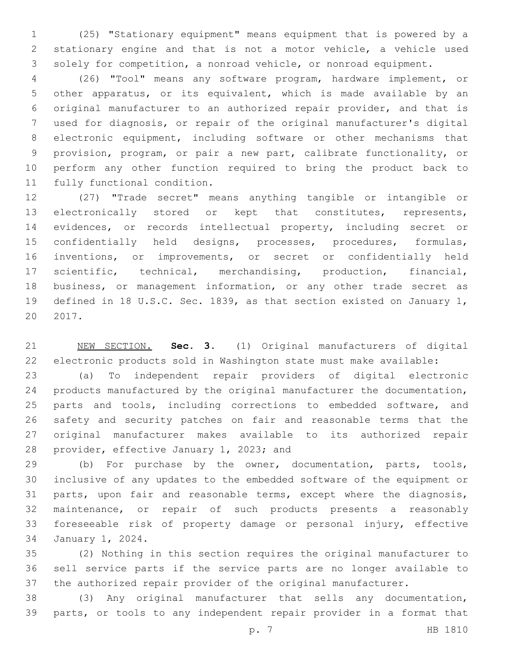(25) "Stationary equipment" means equipment that is powered by a stationary engine and that is not a motor vehicle, a vehicle used solely for competition, a nonroad vehicle, or nonroad equipment.

 (26) "Tool" means any software program, hardware implement, or other apparatus, or its equivalent, which is made available by an original manufacturer to an authorized repair provider, and that is used for diagnosis, or repair of the original manufacturer's digital electronic equipment, including software or other mechanisms that provision, program, or pair a new part, calibrate functionality, or perform any other function required to bring the product back to 11 fully functional condition.

 (27) "Trade secret" means anything tangible or intangible or electronically stored or kept that constitutes, represents, evidences, or records intellectual property, including secret or confidentially held designs, processes, procedures, formulas, inventions, or improvements, or secret or confidentially held scientific, technical, merchandising, production, financial, business, or management information, or any other trade secret as defined in 18 U.S.C. Sec. 1839, as that section existed on January 1, 2017.

 NEW SECTION. **Sec. 3.** (1) Original manufacturers of digital electronic products sold in Washington state must make available:

 (a) To independent repair providers of digital electronic products manufactured by the original manufacturer the documentation, 25 parts and tools, including corrections to embedded software, and safety and security patches on fair and reasonable terms that the original manufacturer makes available to its authorized repair 28 provider, effective January 1, 2023; and

 (b) For purchase by the owner, documentation, parts, tools, inclusive of any updates to the embedded software of the equipment or parts, upon fair and reasonable terms, except where the diagnosis, maintenance, or repair of such products presents a reasonably foreseeable risk of property damage or personal injury, effective 34 January 1, 2024.

 (2) Nothing in this section requires the original manufacturer to sell service parts if the service parts are no longer available to the authorized repair provider of the original manufacturer.

 (3) Any original manufacturer that sells any documentation, parts, or tools to any independent repair provider in a format that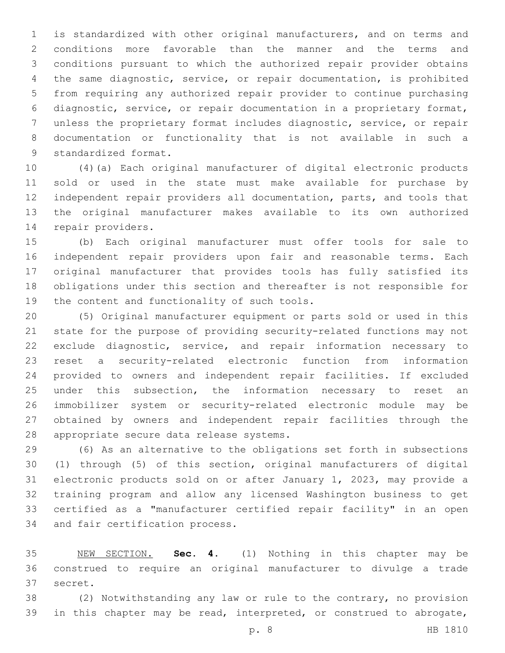is standardized with other original manufacturers, and on terms and conditions more favorable than the manner and the terms and conditions pursuant to which the authorized repair provider obtains the same diagnostic, service, or repair documentation, is prohibited from requiring any authorized repair provider to continue purchasing diagnostic, service, or repair documentation in a proprietary format, unless the proprietary format includes diagnostic, service, or repair documentation or functionality that is not available in such a 9 standardized format.

 (4)(a) Each original manufacturer of digital electronic products sold or used in the state must make available for purchase by independent repair providers all documentation, parts, and tools that the original manufacturer makes available to its own authorized 14 repair providers.

 (b) Each original manufacturer must offer tools for sale to independent repair providers upon fair and reasonable terms. Each original manufacturer that provides tools has fully satisfied its obligations under this section and thereafter is not responsible for 19 the content and functionality of such tools.

 (5) Original manufacturer equipment or parts sold or used in this state for the purpose of providing security-related functions may not exclude diagnostic, service, and repair information necessary to reset a security-related electronic function from information provided to owners and independent repair facilities. If excluded 25 under this subsection, the information necessary to reset an immobilizer system or security-related electronic module may be obtained by owners and independent repair facilities through the 28 appropriate secure data release systems.

 (6) As an alternative to the obligations set forth in subsections (1) through (5) of this section, original manufacturers of digital electronic products sold on or after January 1, 2023, may provide a training program and allow any licensed Washington business to get certified as a "manufacturer certified repair facility" in an open 34 and fair certification process.

 NEW SECTION. **Sec. 4.** (1) Nothing in this chapter may be construed to require an original manufacturer to divulge a trade secret.

 (2) Notwithstanding any law or rule to the contrary, no provision in this chapter may be read, interpreted, or construed to abrogate,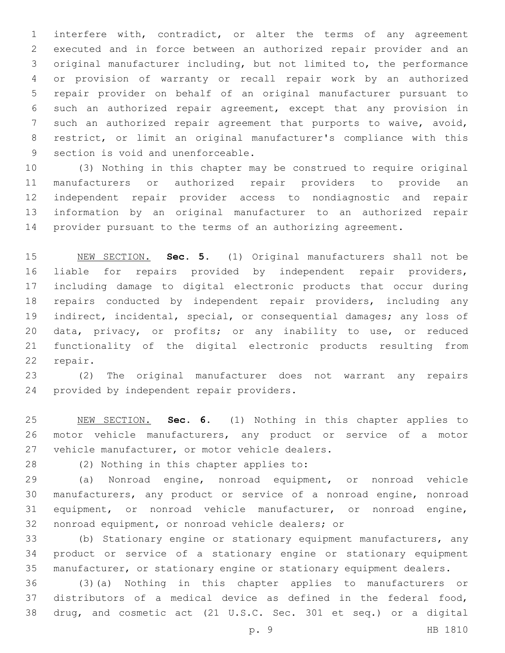interfere with, contradict, or alter the terms of any agreement executed and in force between an authorized repair provider and an original manufacturer including, but not limited to, the performance or provision of warranty or recall repair work by an authorized repair provider on behalf of an original manufacturer pursuant to such an authorized repair agreement, except that any provision in such an authorized repair agreement that purports to waive, avoid, restrict, or limit an original manufacturer's compliance with this 9 section is void and unenforceable.

 (3) Nothing in this chapter may be construed to require original manufacturers or authorized repair providers to provide an independent repair provider access to nondiagnostic and repair information by an original manufacturer to an authorized repair provider pursuant to the terms of an authorizing agreement.

 NEW SECTION. **Sec. 5.** (1) Original manufacturers shall not be liable for repairs provided by independent repair providers, including damage to digital electronic products that occur during repairs conducted by independent repair providers, including any indirect, incidental, special, or consequential damages; any loss of data, privacy, or profits; or any inability to use, or reduced functionality of the digital electronic products resulting from repair.

 (2) The original manufacturer does not warrant any repairs 24 provided by independent repair providers.

 NEW SECTION. **Sec. 6.** (1) Nothing in this chapter applies to motor vehicle manufacturers, any product or service of a motor vehicle manufacturer, or motor vehicle dealers.

28 (2) Nothing in this chapter applies to:

 (a) Nonroad engine, nonroad equipment, or nonroad vehicle manufacturers, any product or service of a nonroad engine, nonroad equipment, or nonroad vehicle manufacturer, or nonroad engine, 32 nonroad equipment, or nonroad vehicle dealers; or

 (b) Stationary engine or stationary equipment manufacturers, any product or service of a stationary engine or stationary equipment manufacturer, or stationary engine or stationary equipment dealers.

 (3)(a) Nothing in this chapter applies to manufacturers or distributors of a medical device as defined in the federal food, drug, and cosmetic act (21 U.S.C. Sec. 301 et seq.) or a digital